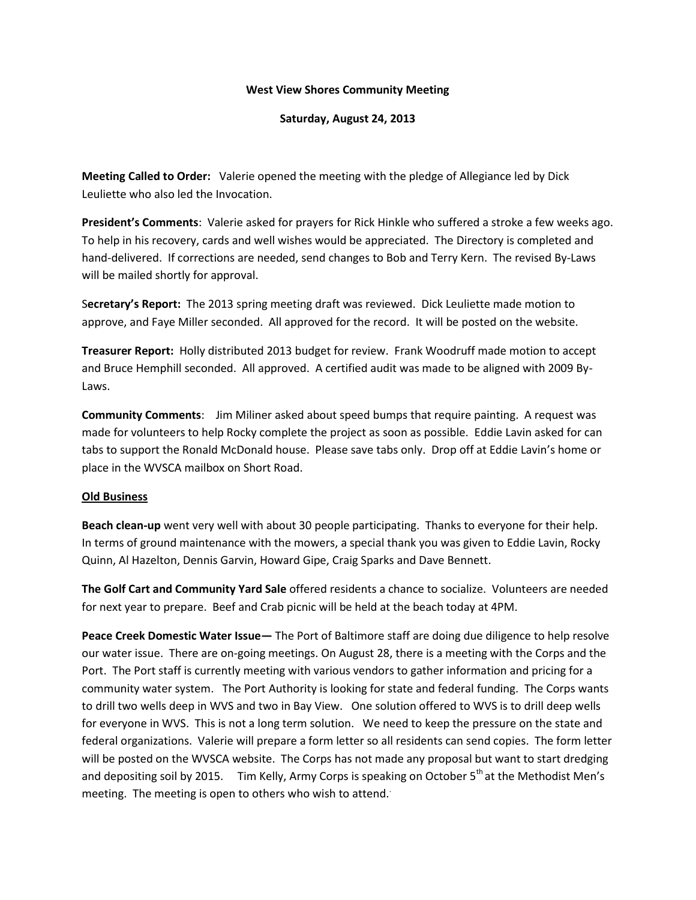## **West View Shores Community Meeting**

**Saturday, August 24, 2013**

**Meeting Called to Order:** Valerie opened the meeting with the pledge of Allegiance led by Dick Leuliette who also led the Invocation.

**President's Comments**: Valerie asked for prayers for Rick Hinkle who suffered a stroke a few weeks ago. To help in his recovery, cards and well wishes would be appreciated. The Directory is completed and hand-delivered. If corrections are needed, send changes to Bob and Terry Kern. The revised By-Laws will be mailed shortly for approval.

S**ecretary's Report:** The 2013 spring meeting draft was reviewed. Dick Leuliette made motion to approve, and Faye Miller seconded. All approved for the record. It will be posted on the website.

**Treasurer Report:** Holly distributed 2013 budget for review. Frank Woodruff made motion to accept and Bruce Hemphill seconded. All approved. A certified audit was made to be aligned with 2009 By-Laws.

**Community Comments**: Jim Miliner asked about speed bumps that require painting. A request was made for volunteers to help Rocky complete the project as soon as possible. Eddie Lavin asked for can tabs to support the Ronald McDonald house. Please save tabs only. Drop off at Eddie Lavin's home or place in the WVSCA mailbox on Short Road.

## **Old Business**

**Beach clean-up** went very well with about 30 people participating. Thanks to everyone for their help. In terms of ground maintenance with the mowers, a special thank you was given to Eddie Lavin, Rocky Quinn, Al Hazelton, Dennis Garvin, Howard Gipe, Craig Sparks and Dave Bennett.

**The Golf Cart and Community Yard Sale** offered residents a chance to socialize. Volunteers are needed for next year to prepare. Beef and Crab picnic will be held at the beach today at 4PM.

**Peace Creek Domestic Water Issue—** The Port of Baltimore staff are doing due diligence to help resolve our water issue. There are on-going meetings. On August 28, there is a meeting with the Corps and the Port. The Port staff is currently meeting with various vendors to gather information and pricing for a community water system. The Port Authority is looking for state and federal funding. The Corps wants to drill two wells deep in WVS and two in Bay View. One solution offered to WVS is to drill deep wells for everyone in WVS. This is not a long term solution. We need to keep the pressure on the state and federal organizations. Valerie will prepare a form letter so all residents can send copies. The form letter will be posted on the WVSCA website. The Corps has not made any proposal but want to start dredging and depositing soil by 2015. Tim Kelly, Army Corps is speaking on October  $5<sup>th</sup>$  at the Methodist Men's meeting. The meeting is open to others who wish to attend.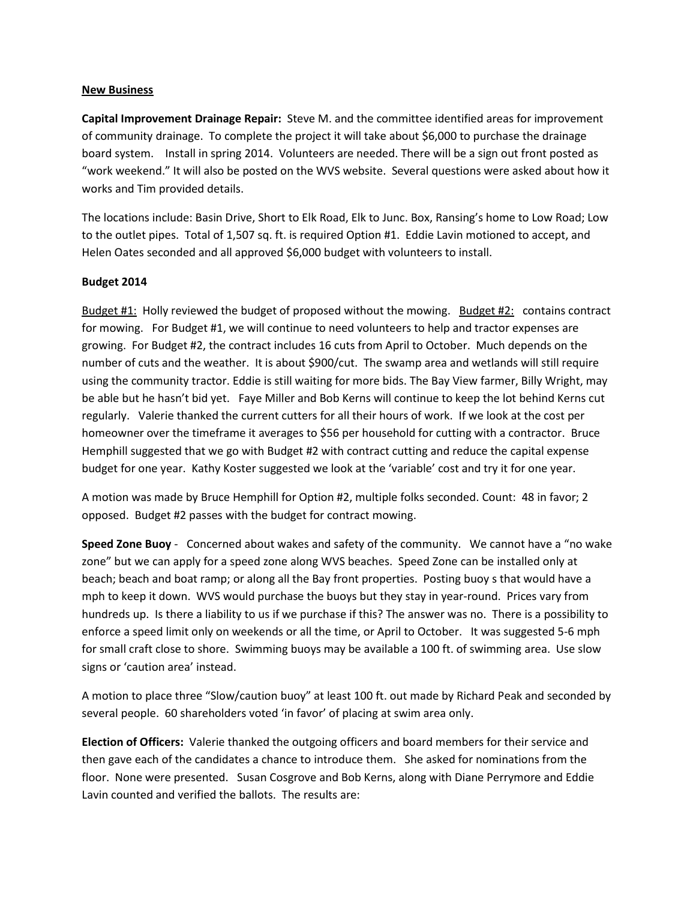## **New Business**

**Capital Improvement Drainage Repair:** Steve M. and the committee identified areas for improvement of community drainage. To complete the project it will take about \$6,000 to purchase the drainage board system. Install in spring 2014. Volunteers are needed. There will be a sign out front posted as "work weekend." It will also be posted on the WVS website. Several questions were asked about how it works and Tim provided details.

The locations include: Basin Drive, Short to Elk Road, Elk to Junc. Box, Ransing's home to Low Road; Low to the outlet pipes. Total of 1,507 sq. ft. is required Option #1. Eddie Lavin motioned to accept, and Helen Oates seconded and all approved \$6,000 budget with volunteers to install.

## **Budget 2014**

Budget #1: Holly reviewed the budget of proposed without the mowing. Budget #2: contains contract for mowing. For Budget #1, we will continue to need volunteers to help and tractor expenses are growing. For Budget #2, the contract includes 16 cuts from April to October. Much depends on the number of cuts and the weather. It is about \$900/cut. The swamp area and wetlands will still require using the community tractor. Eddie is still waiting for more bids. The Bay View farmer, Billy Wright, may be able but he hasn't bid yet. Faye Miller and Bob Kerns will continue to keep the lot behind Kerns cut regularly. Valerie thanked the current cutters for all their hours of work. If we look at the cost per homeowner over the timeframe it averages to \$56 per household for cutting with a contractor. Bruce Hemphill suggested that we go with Budget #2 with contract cutting and reduce the capital expense budget for one year. Kathy Koster suggested we look at the 'variable' cost and try it for one year.

A motion was made by Bruce Hemphill for Option #2, multiple folks seconded. Count: 48 in favor; 2 opposed. Budget #2 passes with the budget for contract mowing.

**Speed Zone Buoy** - Concerned about wakes and safety of the community. We cannot have a "no wake zone" but we can apply for a speed zone along WVS beaches. Speed Zone can be installed only at beach; beach and boat ramp; or along all the Bay front properties. Posting buoy s that would have a mph to keep it down. WVS would purchase the buoys but they stay in year-round. Prices vary from hundreds up. Is there a liability to us if we purchase if this? The answer was no. There is a possibility to enforce a speed limit only on weekends or all the time, or April to October. It was suggested 5-6 mph for small craft close to shore. Swimming buoys may be available a 100 ft. of swimming area. Use slow signs or 'caution area' instead.

A motion to place three "Slow/caution buoy" at least 100 ft. out made by Richard Peak and seconded by several people. 60 shareholders voted 'in favor' of placing at swim area only.

**Election of Officers:** Valerie thanked the outgoing officers and board members for their service and then gave each of the candidates a chance to introduce them. She asked for nominations from the floor. None were presented. Susan Cosgrove and Bob Kerns, along with Diane Perrymore and Eddie Lavin counted and verified the ballots. The results are: